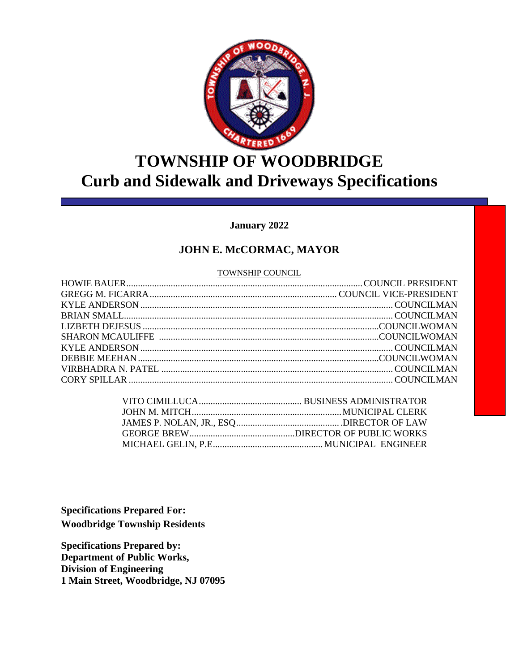

## **TOWNSHIP OF WOODBRIDGE Curb and Sidewalk and Driveways Specifications**

#### **January 2022**

#### **JOHN E. McCORMAC, MAYOR**

#### TOWNSHIP COUNCIL

**Specifications Prepared For: Woodbridge Township Residents** 

**Specifications Prepared by: Department of Public Works, Division of Engineering 1 Main Street, Woodbridge, NJ 07095**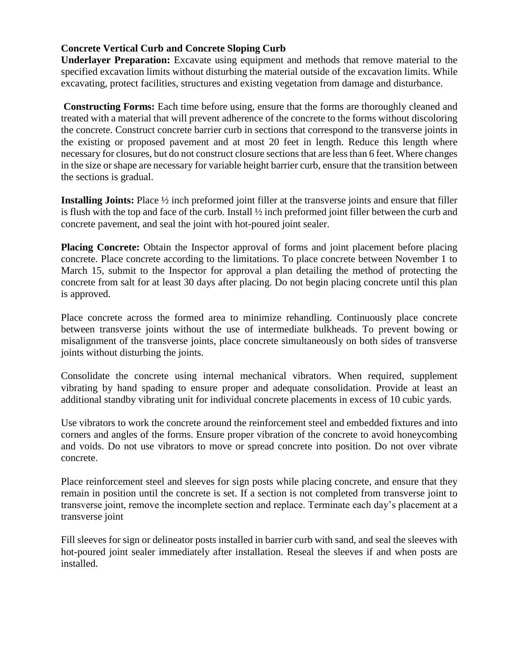#### **Concrete Vertical Curb and Concrete Sloping Curb**

**Underlayer Preparation:** Excavate using equipment and methods that remove material to the specified excavation limits without disturbing the material outside of the excavation limits. While excavating, protect facilities, structures and existing vegetation from damage and disturbance.

**Constructing Forms:** Each time before using, ensure that the forms are thoroughly cleaned and treated with a material that will prevent adherence of the concrete to the forms without discoloring the concrete. Construct concrete barrier curb in sections that correspond to the transverse joints in the existing or proposed pavement and at most 20 feet in length. Reduce this length where necessary for closures, but do not construct closure sections that are less than 6 feet. Where changes in the size or shape are necessary for variable height barrier curb, ensure that the transition between the sections is gradual.

**Installing Joints:** Place ½ inch preformed joint filler at the transverse joints and ensure that filler is flush with the top and face of the curb. Install ½ inch preformed joint filler between the curb and concrete pavement, and seal the joint with hot-poured joint sealer.

**Placing Concrete:** Obtain the Inspector approval of forms and joint placement before placing concrete. Place concrete according to the limitations. To place concrete between November 1 to March 15, submit to the Inspector for approval a plan detailing the method of protecting the concrete from salt for at least 30 days after placing. Do not begin placing concrete until this plan is approved.

Place concrete across the formed area to minimize rehandling. Continuously place concrete between transverse joints without the use of intermediate bulkheads. To prevent bowing or misalignment of the transverse joints, place concrete simultaneously on both sides of transverse joints without disturbing the joints.

Consolidate the concrete using internal mechanical vibrators. When required, supplement vibrating by hand spading to ensure proper and adequate consolidation. Provide at least an additional standby vibrating unit for individual concrete placements in excess of 10 cubic yards.

Use vibrators to work the concrete around the reinforcement steel and embedded fixtures and into corners and angles of the forms. Ensure proper vibration of the concrete to avoid honeycombing and voids. Do not use vibrators to move or spread concrete into position. Do not over vibrate concrete.

Place reinforcement steel and sleeves for sign posts while placing concrete, and ensure that they remain in position until the concrete is set. If a section is not completed from transverse joint to transverse joint, remove the incomplete section and replace. Terminate each day's placement at a transverse joint

Fill sleeves for sign or delineator posts installed in barrier curb with sand, and seal the sleeves with hot-poured joint sealer immediately after installation. Reseal the sleeves if and when posts are installed.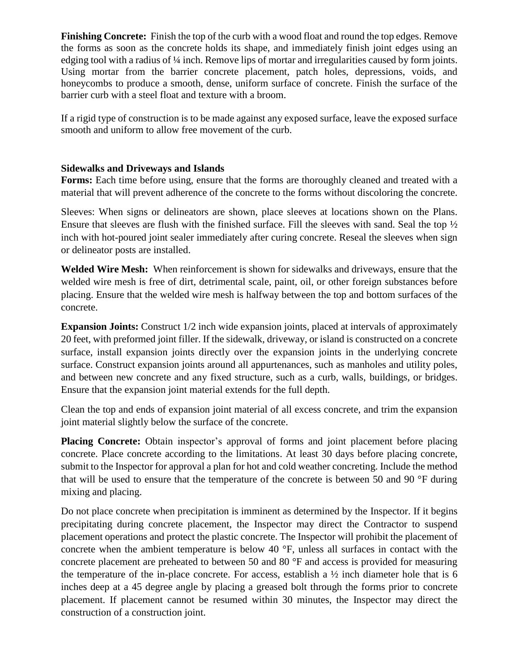**Finishing Concrete:** Finish the top of the curb with a wood float and round the top edges. Remove the forms as soon as the concrete holds its shape, and immediately finish joint edges using an edging tool with a radius of 1/4 inch. Remove lips of mortar and irregularities caused by form joints. Using mortar from the barrier concrete placement, patch holes, depressions, voids, and honeycombs to produce a smooth, dense, uniform surface of concrete. Finish the surface of the barrier curb with a steel float and texture with a broom.

If a rigid type of construction is to be made against any exposed surface, leave the exposed surface smooth and uniform to allow free movement of the curb.

#### **Sidewalks and Driveways and Islands**

**Forms:** Each time before using, ensure that the forms are thoroughly cleaned and treated with a material that will prevent adherence of the concrete to the forms without discoloring the concrete.

Sleeves: When signs or delineators are shown, place sleeves at locations shown on the Plans. Ensure that sleeves are flush with the finished surface. Fill the sleeves with sand. Seal the top ½ inch with hot-poured joint sealer immediately after curing concrete. Reseal the sleeves when sign or delineator posts are installed.

**Welded Wire Mesh:** When reinforcement is shown for sidewalks and driveways, ensure that the welded wire mesh is free of dirt, detrimental scale, paint, oil, or other foreign substances before placing. Ensure that the welded wire mesh is halfway between the top and bottom surfaces of the concrete.

**Expansion Joints:** Construct 1/2 inch wide expansion joints, placed at intervals of approximately 20 feet, with preformed joint filler. If the sidewalk, driveway, or island is constructed on a concrete surface, install expansion joints directly over the expansion joints in the underlying concrete surface. Construct expansion joints around all appurtenances, such as manholes and utility poles, and between new concrete and any fixed structure, such as a curb, walls, buildings, or bridges. Ensure that the expansion joint material extends for the full depth.

Clean the top and ends of expansion joint material of all excess concrete, and trim the expansion joint material slightly below the surface of the concrete.

**Placing Concrete:** Obtain inspector's approval of forms and joint placement before placing concrete. Place concrete according to the limitations. At least 30 days before placing concrete, submit to the Inspector for approval a plan for hot and cold weather concreting. Include the method that will be used to ensure that the temperature of the concrete is between 50 and 90 °F during mixing and placing.

Do not place concrete when precipitation is imminent as determined by the Inspector. If it begins precipitating during concrete placement, the Inspector may direct the Contractor to suspend placement operations and protect the plastic concrete. The Inspector will prohibit the placement of concrete when the ambient temperature is below 40 °F, unless all surfaces in contact with the concrete placement are preheated to between 50 and 80 °F and access is provided for measuring the temperature of the in-place concrete. For access, establish a  $\frac{1}{2}$  inch diameter hole that is 6 inches deep at a 45 degree angle by placing a greased bolt through the forms prior to concrete placement. If placement cannot be resumed within 30 minutes, the Inspector may direct the construction of a construction joint.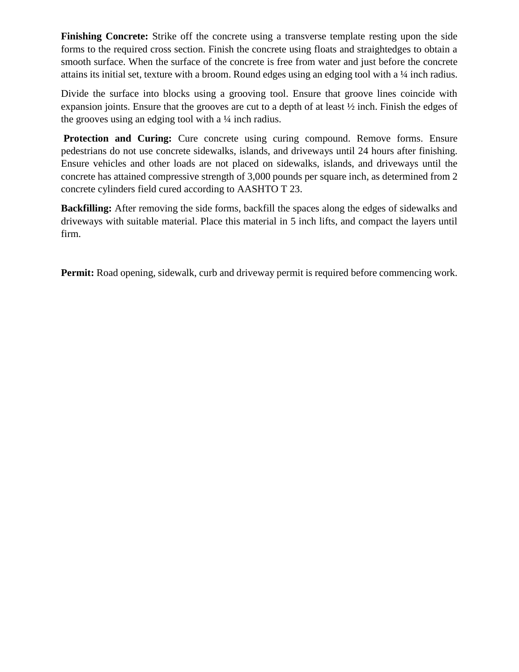**Finishing Concrete:** Strike off the concrete using a transverse template resting upon the side forms to the required cross section. Finish the concrete using floats and straightedges to obtain a smooth surface. When the surface of the concrete is free from water and just before the concrete attains its initial set, texture with a broom. Round edges using an edging tool with a ¼ inch radius.

Divide the surface into blocks using a grooving tool. Ensure that groove lines coincide with expansion joints. Ensure that the grooves are cut to a depth of at least ½ inch. Finish the edges of the grooves using an edging tool with a  $\frac{1}{4}$  inch radius.

**Protection and Curing:** Cure concrete using curing compound. Remove forms. Ensure pedestrians do not use concrete sidewalks, islands, and driveways until 24 hours after finishing. Ensure vehicles and other loads are not placed on sidewalks, islands, and driveways until the concrete has attained compressive strength of 3,000 pounds per square inch, as determined from 2 concrete cylinders field cured according to AASHTO T 23.

**Backfilling:** After removing the side forms, backfill the spaces along the edges of sidewalks and driveways with suitable material. Place this material in 5 inch lifts, and compact the layers until firm.

**Permit:** Road opening, sidewalk, curb and driveway permit is required before commencing work.